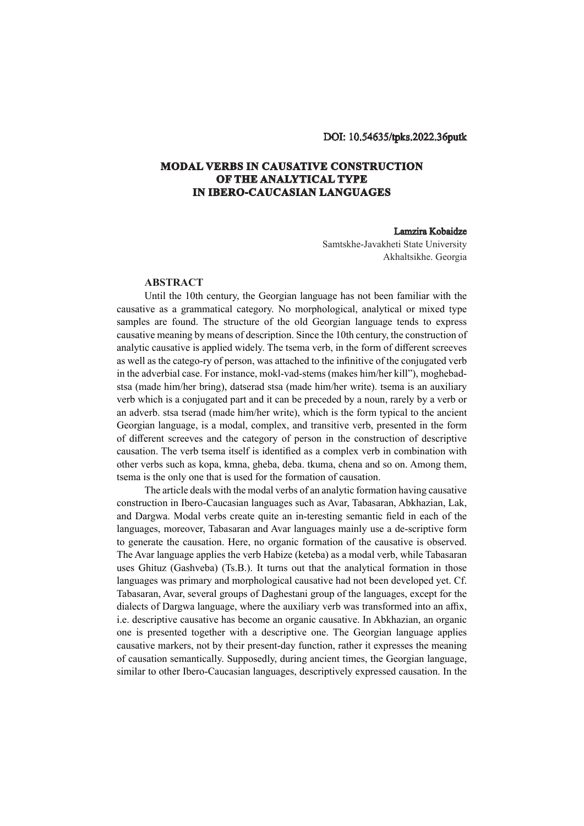## DOI: 10.54635/tpks.2022.36putk

## **MODAL VERBS IN CAUSATIVE CONSTRUCTION OF THE ANALYTICAL TYPE IN IBERO-CAUCASIAN LANGUAGES**

## Lamzira Kobaidze

Samtskhe-Javakheti State University Akhaltsikhe. Georgia

## **ABSTRACT**

Until the 10th century, the Georgian language has not been familiar with the causative as a grammatical category. No morphological, analytical or mixed type samples are found. The structure of the old Georgian language tends to express causative meaning by means of description. Since the 10th century, the construction of analytic causative is applied widely. The tsema verb, in the form of different screeves as well as the catego-ry of person, was attached to the infinitive of the conjugated verb in the adverbial case. For instance, mokl-vad-stems (makes him/her kill"), moghebadstsa (made him/her bring), datserad stsa (made him/her write). tsema is an auxiliary verb which is a conjugated part and it can be preceded by a noun, rarely by a verb or an adverb. stsa tserad (made him/her write), which is the form typical to the ancient Georgian language, is a modal, complex, and transitive verb, presented in the form of different screeves and the category of person in the construction of descriptive causation. The verb tsema itself is identified as a complex verb in combination with other verbs such as kopa, kmna, gheba, deba. tkuma, chena and so on. Among them, tsema is the only one that is used for the formation of causation.

The article deals with the modal verbs of an analytic formation having causative construction in Ibero-Caucasian languages such as Avar, Tabasaran, Abkhazian, Lak, and Dargwa. Modal verbs create quite an in-teresting semantic field in each of the languages, moreover, Tabasaran and Avar languages mainly use a de-scriptive form to generate the causation. Here, no organic formation of the causative is observed. The Avar language applies the verb Habize (keteba) as a modal verb, while Tabasaran uses Ghituz (Gashveba) (Ts.B.). It turns out that the analytical formation in those languages was primary and morphological causative had not been developed yet. Cf. Tabasaran, Avar, several groups of Daghestani group of the languages, except for the dialects of Dargwa language, where the auxiliary verb was transformed into an affix, i.e. descriptive causative has become an organic causative. In Abkhazian, an organic one is presented together with a descriptive one. The Georgian language applies causative markers, not by their present-day function, rather it expresses the meaning of causation semantically. Supposedly, during ancient times, the Georgian language, similar to other Ibero-Caucasian languages, descriptively expressed causation. In the